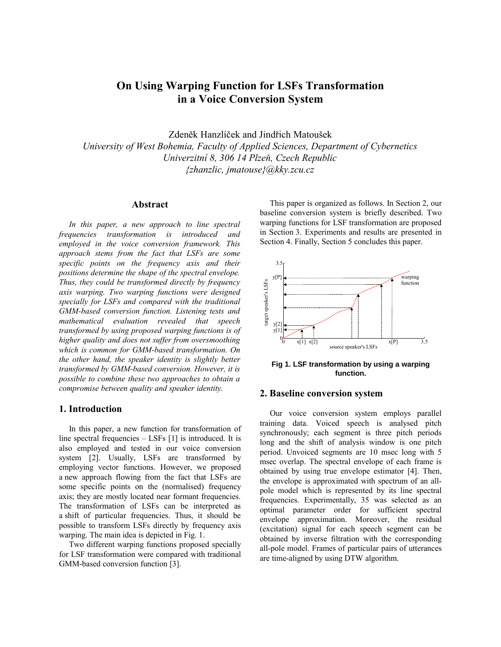# **On Using Warping Function for LSFs Transformation in a Voice Conversion System**

Zdeněk Hanzlíček and Jindřich Matoušek *University of West Bohemia, Faculty of Applied Sciences, Department of Cybernetics Univerzitní 8, 306 14 Plzeň, Czech Republic {zhanzlic, jmatouse}@kky.zcu.cz*

#### **Abstract**

*In this paper, a new approach to line spectral frequencies transformation is introduced and employed in the voice conversion framework. This approach stems from the fact that LSFs are some specific points on the frequency axis and their positions determine the shape of the spectral envelope. Thus, they could be transformed directly by frequency axis warping. Two warping functions were designed specially for LSFs and compared with the traditional GMM-based conversion function. Listening tests and mathematical evaluation revealed that speech transformed by using proposed warping functions is of higher quality and does not suffer from oversmoothing which is common for GMM-based transformation. On the other hand, the speaker identity is slightly better transformed by GMM-based conversion. However, it is possible to combine these two approaches to obtain a compromise between quality and speaker identity.* 

# **1. Introduction**

In this paper, a new function for transformation of line spectral frequencies – LSFs [1] is introduced. It is also employed and tested in our voice conversion system [2]. Usually, LSFs are transformed by employing vector functions. However, we proposed a new approach flowing from the fact that LSFs are some specific points on the (normalised) frequency axis; they are mostly located near formant frequencies. The transformation of LSFs can be interpreted as a shift of particular frequencies. Thus, it should be possible to transform LSFs directly by frequency axis warping. The main idea is depicted in Fig. 1.

Two different warping functions proposed specially for LSF transformation were compared with traditional GMM-based conversion function [3].

This paper is organized as follows. In Section 2, our baseline conversion system is briefly described. Two warping functions for LSF transformation are proposed in Section 3. Experiments and results are presented in Section 4. Finally, Section 5 concludes this paper.



**Fig 1. LSF transformation by using a warping function.**

# **2. Baseline conversion system**

Our voice conversion system employs parallel training data. Voiced speech is analysed pitch synchronously; each segment is three pitch periods long and the shift of analysis window is one pitch period. Unvoiced segments are 10 msec long with 5 msec overlap. The spectral envelope of each frame is obtained by using true envelope estimator [4]. Then, the envelope is approximated with spectrum of an allpole model which is represented by its line spectral frequencies. Experimentally, 35 was selected as an optimal parameter order for sufficient spectral envelope approximation. Moreover, the residual (excitation) signal for each speech segment can be obtained by inverse filtration with the corresponding all-pole model. Frames of particular pairs of utterances are time-aligned by using DTW algorithm.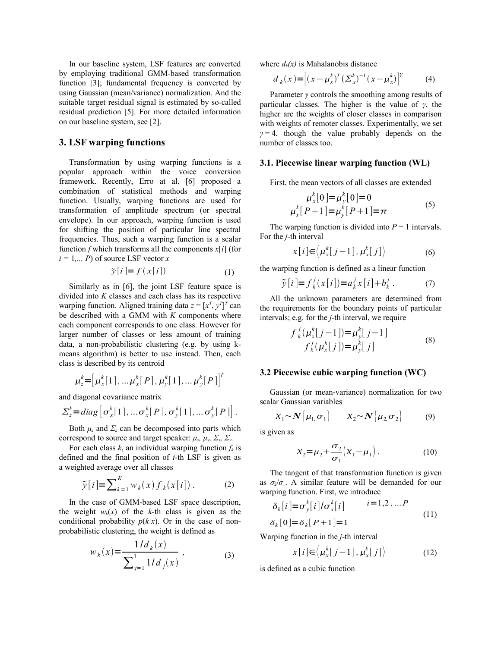In our baseline system, LSF features are converted by employing traditional GMM-based transformation function [3]; fundamental frequency is converted by using Gaussian (mean/variance) normalization. And the suitable target residual signal is estimated by so-called residual prediction [5]. For more detailed information on our baseline system, see [2].

# **3. LSF warping functions**

Transformation by using warping functions is a popular approach within the voice conversion framework. Recently, Erro at al. [6] proposed a combination of statistical methods and warping function. Usually, warping functions are used for transformation of amplitude spectrum (or spectral envelope). In our approach, warping function is used for shifting the position of particular line spectral frequencies. Thus, such a warping function is a scalar function *f* which transforms all the components  $x[i]$  (for  $i = 1, \ldots, P$  of source LSF vector *x* 

$$
\tilde{\mathbf{y}}[i] = f\left(\mathbf{x}[i]\right) \tag{1}
$$

Similarly as in [6], the joint LSF feature space is divided into *K* classes and each class has its respective warping function. Aligned training data  $z = [x^T, y^T]^T$  can be described with a GMM with *K* components where each component corresponds to one class. However for larger number of classes or less amount of training data, a non-probabilistic clustering (e.g. by using kmeans algorithm) is better to use instead. Then, each class is described by its centroid

$$
\mu_z^k = [\mu_x^k[1], \dots, \mu_x^k[P], \mu_y^k[1], \dots, \mu_y^k[P]]^T
$$

and diagonal covariance matrix

$$
\Sigma_z^k = diag\left[\sigma_x^k[1], \ldots \sigma_x^k[P], \sigma_y^k[1], \ldots \sigma_y^k[P]\right].
$$

Both  $\mu_z$  and  $\Sigma_z$  can be decomposed into parts which correspond to source and target speaker:  $\mu_x$ ,  $\mu_y$ ,  $\Sigma_x$ ,  $\Sigma_y$ .

For each class  $k$ , an individual warping function  $f_k$  is defined and the final position of *i*-th LSF is given as a weighted average over all classes

$$
\tilde{y}[i] = \sum_{k=1}^{K} w_k(x) f_k(x[i]). \qquad (2)
$$

In the case of GMM-based LSF space description, the weight  $w_k(x)$  of the *k*-th class is given as the conditional probability  $p(k|x)$ . Or in the case of nonprobabilistic clustering, the weight is defined as

$$
w_k(x) = \frac{1/d_k(x)}{\sum_{j=1}^1 1/d_j(x)},
$$
\n(3)

where  $d_k(x)$  is Mahalanobis distance

$$
d_{k}(x) = [(x - \mu_{x}^{k})^{T} (\Sigma_{x}^{k})^{-1} (x - \mu_{x}^{k})]^{Y}
$$
 (4)

Parameter *γ* controls the smoothing among results of particular classes. The higher is the value of *γ*, the higher are the weights of closer classes in comparison with weights of remoter classes. Experimentally, we set  $\gamma = 4$ , though the value probably depends on the number of classes too.

#### **3.1. Piecewise linear warping function (WL)**

First, the mean vectors of all classes are extended

$$
\mu_x^k[0] = \mu_y^k[0] = 0
$$
  

$$
\mu_x^k[P+1] = \mu_y^k[P+1] = \pi
$$
 (5)

The warping function is divided into  $P + 1$  intervals. For the *j*-th interval

$$
x[i] \in \langle \mu_x^k[j-1], \mu_x^k[j] \rangle \tag{6}
$$

the warping function is defined as a linear function

$$
\tilde{y}[i] = f_k^j(x[i]) = a_k^j x[i] + b_k^j
$$
. (7)

All the unknown parameters are determined from the requirements for the boundary points of particular intervals; e.g. for the *j*-th interval, we require

$$
f_{k}^{j}(\mu_{x}^{k}[j-1]) = \mu_{y}^{k}[j-1] f_{k}^{j}(\mu_{x}^{k}[j]) = \mu_{y}^{k}[j]
$$
 (8)

## **3.2 Piecewise cubic warping function (WC)**

Gaussian (or mean-variance) normalization for two scalar Gaussian variables

$$
X_1 \sim \mathbf{N} \big[ \mu_1 \sigma_1 \big] \qquad X_2 \sim \mathbf{N} \big[ \mu_2 \sigma_2 \big] \tag{9}
$$

is given as

$$
X_2 = \mu_2 + \frac{\sigma_2}{\sigma_1} (X_1 - \mu_1).
$$
 (10)

The tangent of that transformation function is given as  $\sigma_2/\sigma_1$ . A similar feature will be demanded for our warping function. First, we introduce

$$
\delta_k[i] = \sigma_y^k[i]/\sigma_x^k[i] \qquad i = 1, 2, \dots P
$$
  
\n
$$
\delta_k[0] = \delta_k[P+1] = 1 \qquad (11)
$$

Warping function in the *j*-th interval

$$
x[i] \in \langle \mu_x^k[j-1], \mu_x^k[j] \rangle \tag{12}
$$

is defined as a cubic function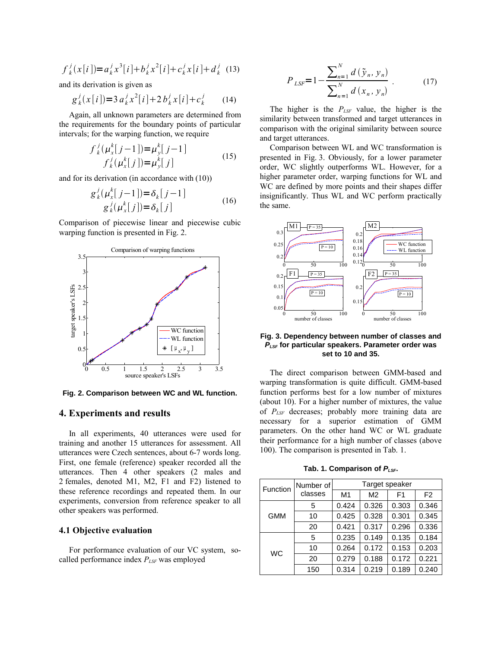$$
f_k^j(x[i]) = a_k^j x^3[i] + b_k^j x^2[i] + c_k^j x[i] + d_k^j
$$
 (13)

and its derivation is given as

$$
g_k^j(x[i]) = 3 a_k^j x^2[i] + 2 b_k^j x[i] + c_k^j \tag{14}
$$

Again, all unknown parameters are determined from the requirements for the boundary points of particular intervals; for the warping function, we require

$$
f_{k}^{j}(\mu_{x}^{k}[j-1]) = \mu_{y}^{k}[j-1] f_{k}^{j}(\mu_{x}^{k}[j]) = \mu_{y}^{k}[j]
$$
 (15)

and for its derivation (in accordance with (10))

$$
g_k^j(\mu_x^k[j-1]) = \delta_k[j-1]
$$
  
\n
$$
g_k^j(\mu_x^k[j]) = \delta_k[j]
$$
 (16)

Comparison of piecewise linear and piecewise cubic warping function is presented in Fig. 2.



**Fig. 2. Comparison between WC and WL function.**

## **4. Experiments and results**

In all experiments, 40 utterances were used for training and another 15 utterances for assessment. All utterances were Czech sentences, about 6-7 words long. First, one female (reference) speaker recorded all the utterances. Then 4 other speakers (2 males and 2 females, denoted M1, M2, F1 and F2) listened to these reference recordings and repeated them. In our experiments, conversion from reference speaker to all other speakers was performed.

#### **4.1 Objective evaluation**

For performance evaluation of our VC system, socalled performance index *PLSF* was employed

$$
P_{LSF} = 1 - \frac{\sum_{n=1}^{N} d(\tilde{y}_n, y_n)}{\sum_{n=1}^{N} d(x_n, y_n)}.
$$
 (17)

The higher is the *PLSF* value, the higher is the similarity between transformed and target utterances in comparison with the original similarity between source and target utterances.

Comparison between WL and WC transformation is presented in Fig. 3. Obviously, for a lower parameter order, WC slightly outperforms WL. However, for a higher parameter order, warping functions for WL and WC are defined by more points and their shapes differ insignificantly. Thus WL and WC perform practically the same.



#### **Fig. 3. Dependency between number of classes and PLSF for particular speakers. Parameter order was set to 10 and 35.**

The direct comparison between GMM-based and warping transformation is quite difficult. GMM-based function performs best for a low number of mixtures (about 10). For a higher number of mixtures, the value of *PLSF* decreases; probably more training data are necessary for a superior estimation of GMM parameters. On the other hand WC or WL graduate their performance for a high number of classes (above 100). The comparison is presented in Tab. 1.

**Tab.** 1. Comparison of  $P_{LSE}$ .

| Function  | Number of<br>classes | Target speaker |       |                |                |
|-----------|----------------------|----------------|-------|----------------|----------------|
|           |                      | M1             | M2    | F <sub>1</sub> | F <sub>2</sub> |
| GMM       | 5                    | 0.424          | 0.326 | 0.303          | 0.346          |
|           | 10                   | 0.425          | 0.328 | 0.301          | 0.345          |
|           | 20                   | 0.421          | 0.317 | 0.296          | 0.336          |
| <b>WC</b> | 5                    | 0.235          | 0.149 | 0.135          | 0.184          |
|           | 10                   | 0.264          | 0.172 | 0.153          | 0.203          |
|           | 20                   | 0.279          | 0.188 | 0.172          | 0.221          |
|           | 150                  | 0.314          | 0.219 | 0.189          | 0.240          |